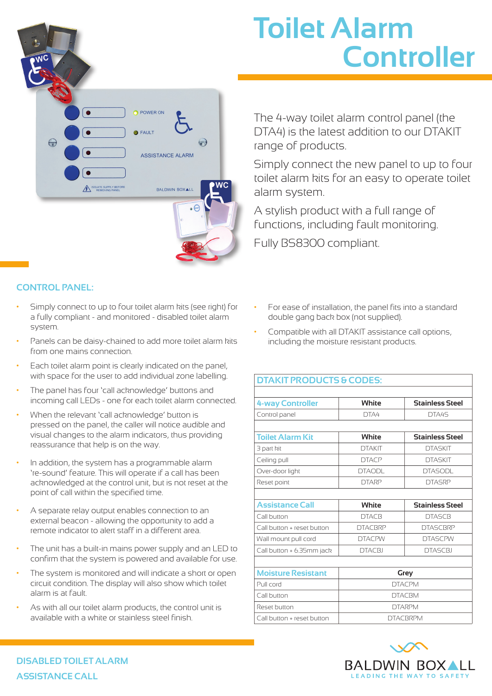## POWER ON  $\epsilon$ FAULT  $\bigodot$  $\bigodot$ **ASSISTANCE ALARM** SOLATE SUPPLY BEFOR BALDWIN BOXAL

## **CONTROL PANEL:**

- Simply connect to up to four toilet alarm kits (see right) for a fully compliant - and monitored - disabled toilet alarm system.
- Panels can be daisy-chained to add more toilet alarm kits from one mains connection.
- Each toilet alarm point is clearly indicated on the panel, with space for the user to add individual zone labelling.
- The panel has four 'call acknowledge' buttons and incoming call LEDs - one for each toilet alarm connected.
- When the relevant 'call acknowledge' button is pressed on the panel, the caller will notice audible and visual changes to the alarm indicators, thus providing reassurance that help is on the way.
- In addition, the system has a programmable alarm 're-sound' feature. This will operate if a call has been acknowledged at the control unit, but is not reset at the point of call within the specified time.
- A separate relay output enables connection to an external beacon - allowing the opportunity to add a remote indicator to alert staff in a different area.
- The unit has a built-in mains power supply and an LED to confirm that the system is powered and available for use.
- The system is monitored and will indicate a short or open circuit condition. The display will also show which toilet alarm is at fault.
- As with all our toilet alarm products, the control unit is available with a white or stainless steel finish.

## **Toilet Alarm Controller**

The 4-way toilet alarm control panel (the DTA4) is the latest addition to our DTAKIT range of products.

Simply connect the new panel to up to four toilet alarm kits for an easy to operate toilet alarm system.

A stylish product with a full range of functions, including fault monitoring.

Fully BS8300 compliant.

- For ease of installation, the panel fits into a standard double gang back box (not supplied).
- Compatible with all DTAKIT assistance call options, including the moisture resistant products.

| <b>DTAKIT PRODUCTS &amp; CODES:</b> |                 |                        |
|-------------------------------------|-----------------|------------------------|
| <b>4-way Controller</b>             | White           | <b>Stainless Steel</b> |
| Control panel                       | DTA4            | DTA4S                  |
| <b>Toilet Alarm Kit</b>             | White           | <b>Stainless Steel</b> |
| 3 part kit                          | <b>DTAKIT</b>   | <b>DTASKIT</b>         |
| Ceiling pull                        | <b>DTACP</b>    | <b>DTASKIT</b>         |
| Over-door light                     | <b>DTAODL</b>   | <b>DTASODL</b>         |
| Reset point                         | <b>DTARP</b>    | <b>DTASRP</b>          |
|                                     |                 |                        |
| <b>Assistance Call</b>              | White           | <b>Stainless Steel</b> |
| Call button                         | <b>DTACB</b>    | <b>DTASCB</b>          |
| Call button + reset button          | <b>DTACBRP</b>  | <b>DTASCBRP</b>        |
| Wall mount pull cord                | <b>DTACPW</b>   | <b>DTASCPW</b>         |
| Call button + 6.35mm jack           | <b>DTACBJ</b>   | <b>DTASCBJ</b>         |
|                                     |                 |                        |
| <b>Moisture Resistant</b>           | Grey            |                        |
| Pull cord                           | <b>DTACPM</b>   |                        |
| Call button                         | <b>DTACBM</b>   |                        |
| Reset button                        | <b>DTARPM</b>   |                        |
| Call button + reset button          | <b>DTACBRPM</b> |                        |



**DISABLED TOILET ALARM ASSISTANCE CALL**